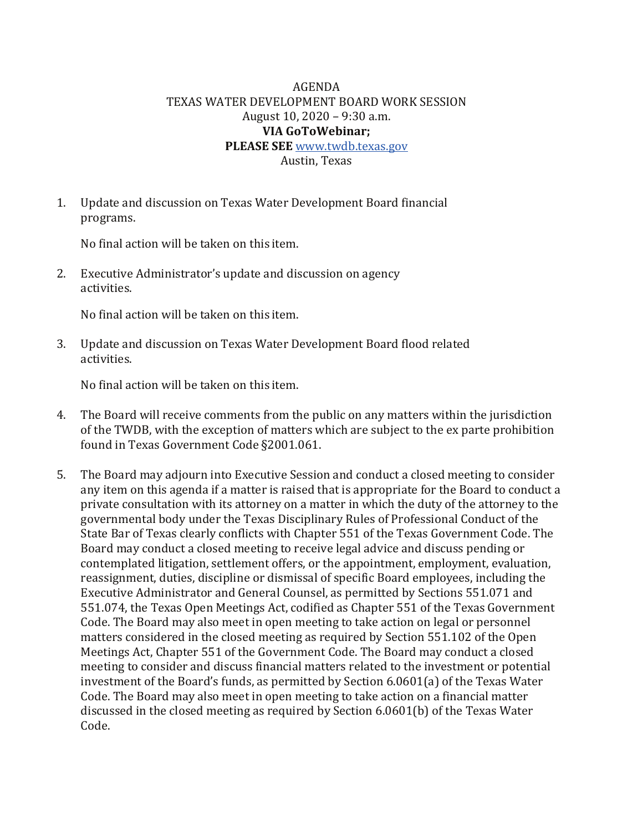## AGENDA TEXAS WATER DEVELOPMENT BOARD WORK SESSION August 10, 2020 – 9:30 a.m. **VIA GoToWebinar; PLEASE SEE** [www.twdb.texas.gov](http://www.twdb.texas.gov/)

Austin, Texas

1. Update and discussion on Texas Water Development Board financial programs.

No final action will be taken on this item.

2. Executive Administrator's update and discussion on agency activities.

No final action will be taken on this item.

3. Update and discussion on Texas Water Development Board flood related activities.

No final action will be taken on this item.

- 4. The Board will receive comments from the public on any matters within the jurisdiction of the TWDB, with the exception of matters which are subject to the ex parte prohibition found in Texas Government Code §2001.061.
- 5. The Board may adjourn into Executive Session and conduct a closed meeting to consider any item on this agenda if a matter is raised that is appropriate for the Board to conduct a private consultation with its attorney on a matter in which the duty of the attorney to the governmental body under the Texas Disciplinary Rules of Professional Conduct of the State Bar of Texas clearly conflicts with Chapter 551 of the Texas Government Code. The Board may conduct a closed meeting to receive legal advice and discuss pending or contemplated litigation, settlement offers, or the appointment, employment, evaluation, reassignment, duties, discipline or dismissal of specific Board employees, including the Executive Administrator and General Counsel, as permitted by Sections 551.071 and 551.074, the Texas Open Meetings Act, codified as Chapter 551 of the Texas Government Code. The Board may also meet in open meeting to take action on legal or personnel matters considered in the closed meeting as required by Section 551.102 of the Open Meetings Act, Chapter 551 of the Government Code. The Board may conduct a closed meeting to consider and discuss financial matters related to the investment or potential investment of the Board's funds, as permitted by Section 6.0601(a) of the Texas Water Code. The Board may also meet in open meeting to take action on a financial matter discussed in the closed meeting as required by Section 6.0601(b) of the Texas Water Code.